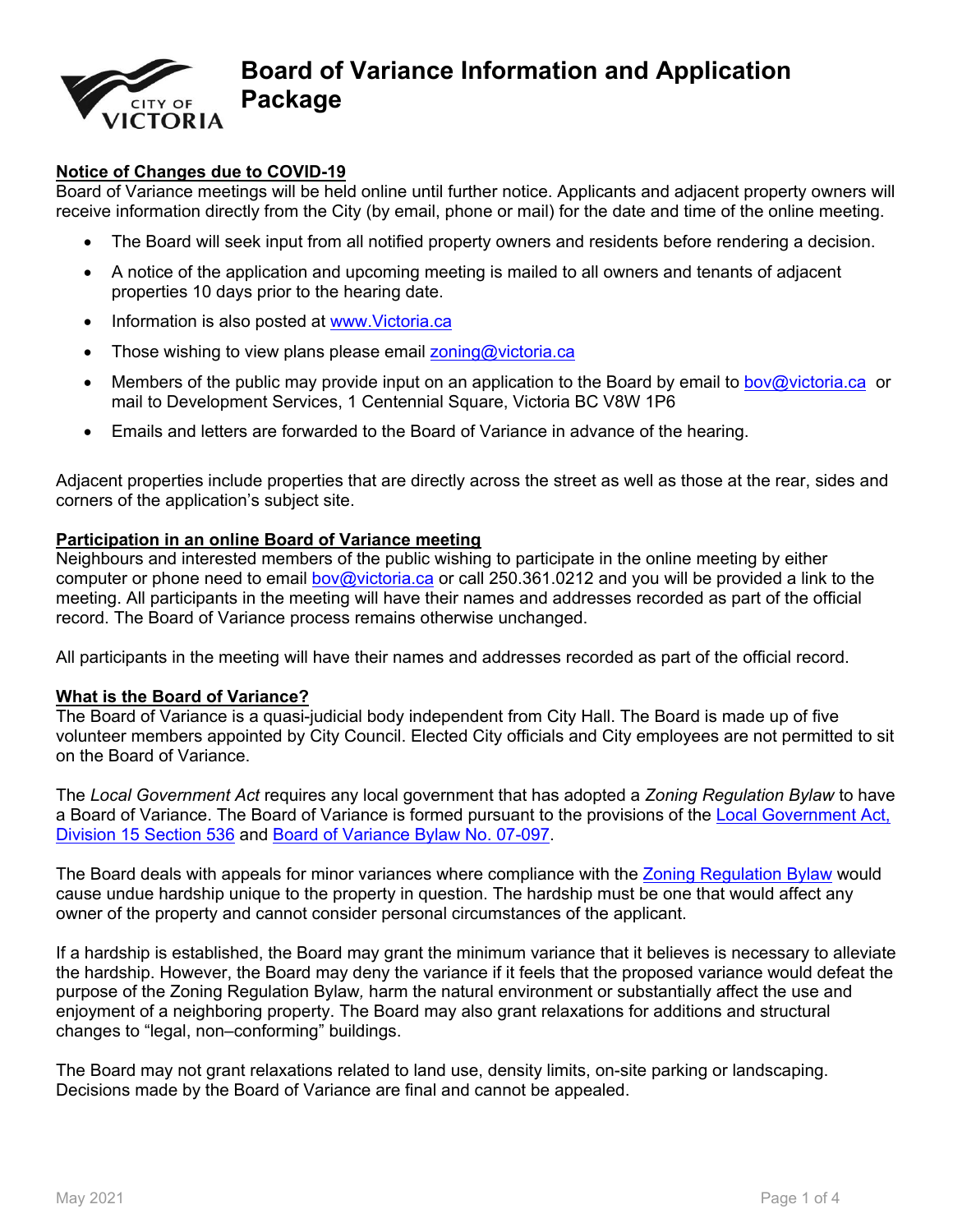

# **Board of Variance Information and Application Package**

# **Notice of Changes due to COVID-19**

Board of Variance meetings will be held online until further notice. Applicants and adjacent property owners will receive information directly from the City (by email, phone or mail) for the date and time of the online meeting.

- The Board will seek input from all notified property owners and residents before rendering a decision.
- A notice of the application and upcoming meeting is mailed to all owners and tenants of adjacent properties 10 days prior to the hearing date.
- Information is also posted at [www.Victoria.ca](http://www.victoria.ca/)
- Those wishing to view plans please email [zoning@victoria.ca](mailto:zoning@victoria.ca)
- Members of the public may provide input on an application to the Board by email to boy@victoria.ca or mail to Development Services, 1 Centennial Square, Victoria BC V8W 1P6
- Emails and letters are forwarded to the Board of Variance in advance of the hearing.

Adjacent properties include properties that are directly across the street as well as those at the rear, sides and corners of the application's subject site.

### **Participation in an online Board of Variance meeting**

Neighbours and interested members of the public wishing to participate in the online meeting by either computer or phone need to email [bov@victoria.ca](mailto:bov@victoria.ca) or call 250.361.0212 and you will be provided a link to the meeting. All participants in the meeting will have their names and addresses recorded as part of the official record. The Board of Variance process remains otherwise unchanged.

All participants in the meeting will have their names and addresses recorded as part of the official record.

#### **What is the Board of Variance?**

The Board of Variance is a quasi-judicial body independent from City Hall. The Board is made up of five volunteer members appointed by City Council. Elected City officials and City employees are not permitted to sit on the Board of Variance.

The *Local Government Act* requires any local government that has adopted a *Zoning Regulation Bylaw* to have a Board of Variance. The Board of Variance is formed pursuant to the provisions of the Local Government Act, [Division 15 Section 536](http://www.bclaws.ca/civix/document/LOC/complete/statreg/--%20L%20--/Local%20Government%20Act%20%5BRSBC%202015%5D%20c.%201/00_Act/r15001_14.xml) and [Board of Variance Bylaw No. 07-097](http://www.victoria.ca/assets/City~Hall/Bylaws/bylaw-07-097.pdf).

The Board deals with appeals for minor variances where compliance with the [Zoning Regulation Bylaw](http://www.victoria.ca/EN/main/residents/planning-development/development-services/zoning.html) would cause undue hardship unique to the property in question. The hardship must be one that would affect any owner of the property and cannot consider personal circumstances of the applicant.

If a hardship is established, the Board may grant the minimum variance that it believes is necessary to alleviate the hardship. However, the Board may deny the variance if it feels that the proposed variance would defeat the purpose of the Zoning Regulation Bylaw*,* harm the natural environment or substantially affect the use and enjoyment of a neighboring property. The Board may also grant relaxations for additions and structural changes to "legal, non–conforming" buildings.

The Board may not grant relaxations related to land use, density limits, on-site parking or landscaping. Decisions made by the Board of Variance are final and cannot be appealed.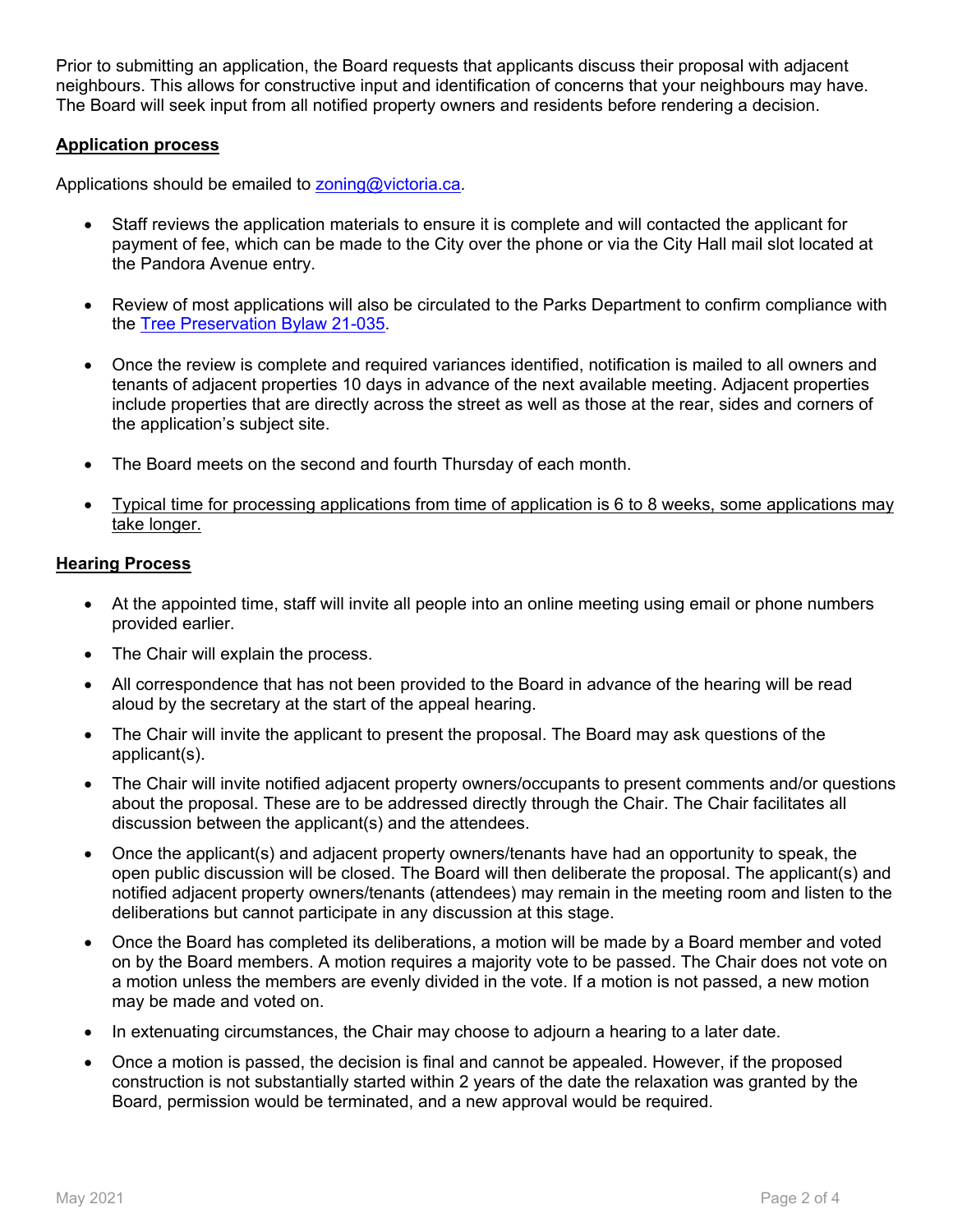Prior to submitting an application, the Board requests that applicants discuss their proposal with adjacent neighbours. This allows for constructive input and identification of concerns that your neighbours may have. The Board will seek input from all notified property owners and residents before rendering a decision.

# **Application process**

Applications should be emailed to [zoning@victoria.ca](mailto:zoning@victoria.ca).

- Staff reviews the application materials to ensure it is complete and will contacted the applicant for payment of fee, which can be made to the City over the phone or via the City Hall mail slot located at the Pandora Avenue entry.
- Review of most applications will also be circulated to the Parks Department to confirm compliance with the [Tree Preservation Bylaw 21-035](https://www.victoria.ca/assets/Departments/Legislative~Services/Documents/21-035%20Tree%20Protection%20Bylaw.pdf).
- Once the review is complete and required variances identified, notification is mailed to all owners and tenants of adjacent properties 10 days in advance of the next available meeting. Adjacent properties include properties that are directly across the street as well as those at the rear, sides and corners of the application's subject site.
- The Board meets on the second and fourth Thursday of each month.
- Typical time for processing applications from time of application is 6 to 8 weeks, some applications may take longer.

#### **Hearing Process**

- At the appointed time, staff will invite all people into an online meeting using email or phone numbers provided earlier.
- The Chair will explain the process.
- All correspondence that has not been provided to the Board in advance of the hearing will be read aloud by the secretary at the start of the appeal hearing.
- The Chair will invite the applicant to present the proposal. The Board may ask questions of the applicant(s).
- The Chair will invite notified adjacent property owners/occupants to present comments and/or questions about the proposal. These are to be addressed directly through the Chair. The Chair facilitates all discussion between the applicant(s) and the attendees.
- Once the applicant(s) and adjacent property owners/tenants have had an opportunity to speak, the open public discussion will be closed. The Board will then deliberate the proposal. The applicant(s) and notified adjacent property owners/tenants (attendees) may remain in the meeting room and listen to the deliberations but cannot participate in any discussion at this stage.
- Once the Board has completed its deliberations, a motion will be made by a Board member and voted on by the Board members. A motion requires a majority vote to be passed. The Chair does not vote on a motion unless the members are evenly divided in the vote. If a motion is not passed, a new motion may be made and voted on.
- In extenuating circumstances, the Chair may choose to adjourn a hearing to a later date.
- Once a motion is passed, the decision is final and cannot be appealed. However, if the proposed construction is not substantially started within 2 years of the date the relaxation was granted by the Board, permission would be terminated, and a new approval would be required.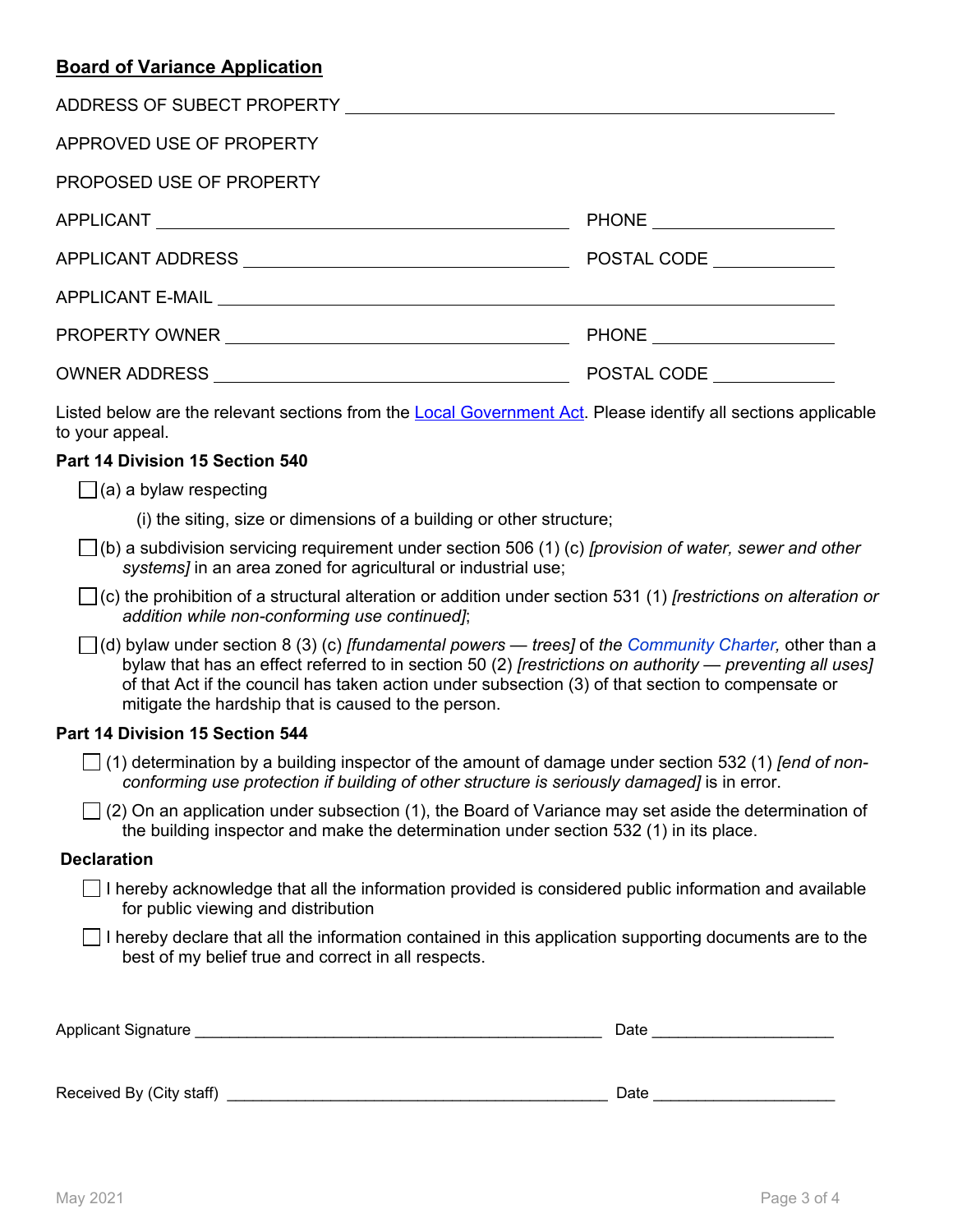# **Board of Variance Application**

| APPROVED USE OF PROPERTY                                                                                                         |                               |
|----------------------------------------------------------------------------------------------------------------------------------|-------------------------------|
| PROPOSED USE OF PROPERTY                                                                                                         |                               |
|                                                                                                                                  | PHONE _______________________ |
|                                                                                                                                  | POSTAL CODE <b>STATE</b>      |
|                                                                                                                                  |                               |
|                                                                                                                                  |                               |
|                                                                                                                                  | POSTAL CODE                   |
| Listed below are the relevant sections from the Local Government Act. Please identify all sections applicable<br>to your appeal. |                               |
| Part 14 Division 15 Section 540                                                                                                  |                               |
| $\Box$ (a) a bylaw respecting                                                                                                    |                               |
| (i) the siting, size or dimensions of a building or other structure;                                                             |                               |
|                                                                                                                                  |                               |

(b) a subdivision servicing requirement under section 506 (1) (c) *[provision of water, sewer and other systems]* in an area zoned for agricultural or industrial use;

(c) the prohibition of a structural alteration or addition under section 531 (1) *[restrictions on alteration or addition while non-conforming use continued]*;

(d) bylaw under section 8 (3) (c) *[fundamental powers — trees]* of *the [Community Charter](http://www.bclaws.ca/civix/document/id/complete/statreg/03026_00),* other than a bylaw that has an effect referred to in section 50 (2) *[restrictions on authority — preventing all uses]* of that Act if the council has taken action under subsection (3) of that section to compensate or mitigate the hardship that is caused to the person.

# **Part 14 Division 15 Section 544**

 (1) determination by a building inspector of the amount of damage under section 532 (1) *[end of nonconforming use protection if building of other structure is seriously damaged]* is in error.

 $\Box$  (2) On an application under subsection (1), the Board of Variance may set aside the determination of the building inspector and make the determination under section 532 (1) in its place.

# **Declaration**

 $\Box$  I hereby acknowledge that all the information provided is considered public information and available for public viewing and distribution

 $\Box$  I hereby declare that all the information contained in this application supporting documents are to the best of my belief true and correct in all respects.

| Applicant Signature | Date |
|---------------------|------|
|                     |      |

Received By (City staff) \_\_\_\_\_\_\_\_\_\_\_\_\_\_\_\_\_\_\_\_\_\_\_\_\_\_\_\_\_\_\_\_\_\_\_\_\_\_\_\_\_\_\_\_ Date \_\_\_\_\_\_\_\_\_\_\_\_\_\_\_\_\_\_\_\_\_